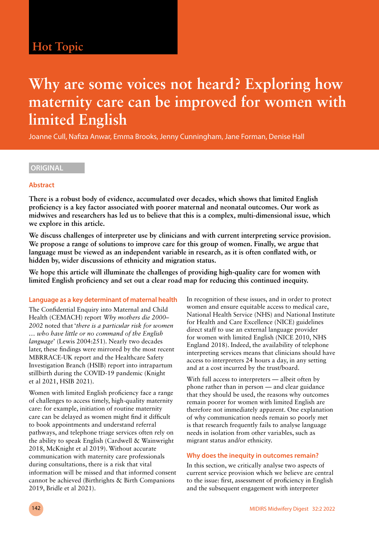# **Why are some voices not heard? Exploring how maternity care can be improved for women with limited English**

Joanne Cull, Nafiza Anwar, Emma Brooks, Jenny Cunningham, Jane Forman, Denise Hall

# **ORIGINAL**

## **Abstract**

**There is a robust body of evidence, accumulated over decades, which shows that limited English proficiency is a key factor associated with poorer maternal and neonatal outcomes. Our work as midwives and researchers has led us to believe that this is a complex, multi-dimensional issue, which we explore in this article.** 

**We discuss challenges of interpreter use by clinicians and with current interpreting service provision. We propose a range of solutions to improve care for this group of women. Finally, we argue that language must be viewed as an independent variable in research, as it is often conflated with, or hidden by, wider discussions of ethnicity and migration status.** 

**We hope this article will illuminate the challenges of providing high-quality care for women with limited English proficiency and set out a clear road map for reducing this continued inequity.** 

#### **Language as a key determinant of maternal health**

The Confidential Enquiry into Maternal and Child Health (CEMACH) report *Why mothers die 2000– 2002* noted that '*there is a particular risk for women … who have little or no command of the English language*' (Lewis 2004:251). Nearly two decades later, these findings were mirrored by the most recent MBRRACE-UK report and the Healthcare Safety Investigation Branch (HSIB) report into intrapartum stillbirth during the COVID-19 pandemic (Knight et al 2021, HSIB 2021).

Women with limited English proficiency face a range of challenges to access timely, high-quality maternity care: for example, initiation of routine maternity care can be delayed as women might find it difficult to book appointments and understand referral pathways, and telephone triage services often rely on the ability to speak English (Cardwell & Wainwright 2018, McKnight et al 2019). Without accurate communication with maternity care professionals during consultations, there is a risk that vital information will be missed and that informed consent cannot be achieved (Birthrights & Birth Companions 2019, Bridle et al 2021).

In recognition of these issues, and in order to protect women and ensure equitable access to medical care, National Health Service (NHS) and National Institute for Health and Care Excellence (NICE) guidelines direct staff to use an external language provider for women with limited English (NICE 2010, NHS England 2018). Indeed, the availability of telephone interpreting services means that clinicians should have access to interpreters 24 hours a day, in any setting and at a cost incurred by the trust/board.

With full access to interpreters — albeit often by phone rather than in person — and clear guidance that they should be used, the reasons why outcomes remain poorer for women with limited English are therefore not immediately apparent. One explanation of why communication needs remain so poorly met is that research frequently fails to analyse language needs in isolation from other variables, such as migrant status and/or ethnicity.

## **Why does the inequity in outcomes remain?**

In this section, we critically analyse two aspects of current service provision which we believe are central to the issue: first, assessment of proficiency in English and the subsequent engagement with interpreter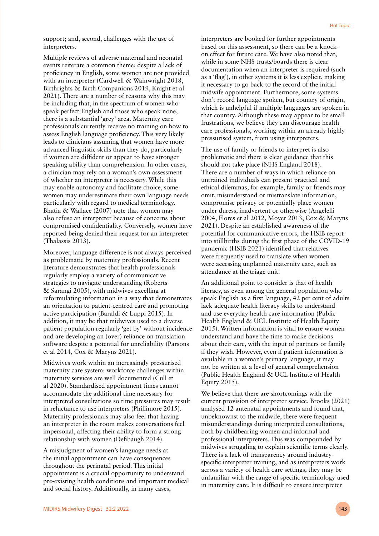support; and, second, challenges with the use of interpreters.

Multiple reviews of adverse maternal and neonatal events reiterate a common theme: despite a lack of proficiency in English, some women are not provided with an interpreter (Cardwell & Wainwright 2018, Birthrights & Birth Companions 2019, Knight et al 2021). There are a number of reasons why this may be including that, in the spectrum of women who speak perfect English and those who speak none, there is a substantial 'grey' area. Maternity care professionals currently receive no training on how to assess English language proficiency. This very likely leads to clinicians assuming that women have more advanced linguistic skills than they do, particularly if women are diffident or appear to have stronger speaking ability than comprehension. In other cases, a clinician may rely on a woman's own assessment of whether an interpreter is necessary. While this may enable autonomy and facilitate choice, some women may underestimate their own language needs particularly with regard to medical terminology. Bhatia & Wallace (2007) note that women may also refuse an interpreter because of concerns about compromised confidentiality. Conversely, women have reported being denied their request for an interpreter (Thalassis 2013).

Moreover, language difference is not always perceived as problematic by maternity professionals. Recent literature demonstrates that health professionals regularly employ a variety of communicative strategies to navigate understanding (Roberts & Sarangi 2005), with midwives excelling at reformulating information in a way that demonstrates an orientation to patient-centred care and promoting active participation (Baraldi & Luppi 2015). In addition, it may be that midwives used to a diverse patient population regularly 'get by' without incidence and are developing an (over) reliance on translation software despite a potential for unreliability (Parsons et al 2014, Cox & Maryns 2021).

Midwives work within an increasingly pressurised maternity care system: workforce challenges within maternity services are well documented (Cull et al 2020). Standardised appointment times cannot accommodate the additional time necessary for interpreted consultations so time pressures may result in reluctance to use interpreters (Phillimore 2015). Maternity professionals may also feel that having an interpreter in the room makes conversations feel impersonal, affecting their ability to form a strong relationship with women (Defibaugh 2014).

A misjudgment of women's language needs at the initial appointment can have consequences throughout the perinatal period. This initial appointment is a crucial opportunity to understand pre-existing health conditions and important medical and social history. Additionally, in many cases,

interpreters are booked for further appointments based on this assessment, so there can be a knockon effect for future care. We have also noted that, while in some NHS trusts/boards there is clear documentation when an interpreter is required (such as a 'flag'), in other systems it is less explicit, making it necessary to go back to the record of the initial midwife appointment. Furthermore, some systems don't record language spoken, but country of origin, which is unhelpful if multiple languages are spoken in that country. Although these may appear to be small frustrations, we believe they can discourage health care professionals, working within an already highly pressurised system, from using interpreters.

The use of family or friends to interpret is also problematic and there is clear guidance that this should not take place (NHS England 2018). There are a number of ways in which reliance on untrained individuals can present practical and ethical dilemmas, for example, family or friends may omit, misunderstand or mistranslate information, compromise privacy or potentially place women under duress, inadvertent or otherwise (Angelelli 2004, Flores et al 2012, Moyer 2013, Cox & Maryns 2021). Despite an established awareness of the potential for communicative errors, the HSIB report into stillbirths during the first phase of the COVID-19 pandemic (HSIB 2021) identified that relatives were frequently used to translate when women were accessing unplanned maternity care, such as attendance at the triage unit.

An additional point to consider is that of health literacy, as even among the general population who speak English as a first language, 42 per cent of adults lack adequate health literacy skills to understand and use everyday health care information (Public Health England & UCL Institute of Health Equity 2015). Written information is vital to ensure women understand and have the time to make decisions about their care, with the input of partners or family if they wish. However, even if patient information is available in a woman's primary language, it may not be written at a level of general comprehension (Public Health England & UCL Institute of Health Equity 2015).

We believe that there are shortcomings with the current provision of interpreter service. Brooks (2021) analysed 12 antenatal appointments and found that, unbeknownst to the midwife, there were frequent misunderstandings during interpreted consultations, both by childbearing women and informal and professional interpreters. This was compounded by midwives struggling to explain scientific terms clearly. There is a lack of transparency around industryspecific interpreter training, and as interpreters work across a variety of health care settings, they may be unfamiliar with the range of specific terminology used in maternity care. It is difficult to ensure interpreter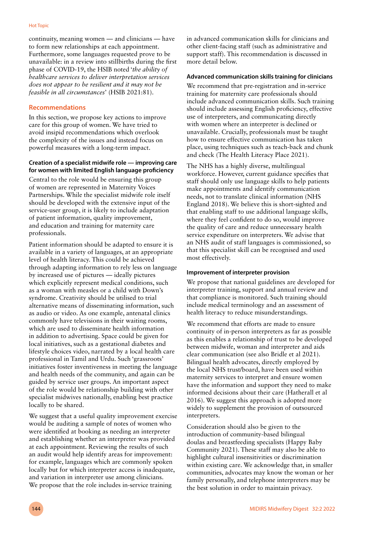continuity, meaning women — and clinicians — have to form new relationships at each appointment. Furthermore, some languages requested prove to be unavailable: in a review into stillbirths during the first phase of COVID-19, the HSIB noted '*the ability of healthcare services to deliver interpretation services does not appear to be resilient and it may not be feasible in all circumstances*' (HSIB 2021:81).

## **Recommendations**

In this section, we propose key actions to improve care for this group of women. We have tried to avoid insipid recommendations which overlook the complexity of the issues and instead focus on powerful measures with a long-term impact.

### **Creation of a specialist midwife role — improving care for women with limited English language proficiency**

Central to the role would be ensuring this group of women are represented in Maternity Voices Partnerships. While the specialist midwife role itself should be developed with the extensive input of the service-user group, it is likely to include adaptation of patient information, quality improvement, and education and training for maternity care professionals.

Patient information should be adapted to ensure it is available in a variety of languages, at an appropriate level of health literacy. This could be achieved through adapting information to rely less on language by increased use of pictures — ideally pictures which explicitly represent medical conditions, such as a woman with measles or a child with Down's syndrome. Creativity should be utilised to trial alternative means of disseminating information, such as audio or video. As one example, antenatal clinics commonly have televisions in their waiting rooms, which are used to disseminate health information in addition to advertising. Space could be given for local initiatives, such as a gestational diabetes and lifestyle choices video, narrated by a local health care professional in Tamil and Urdu. Such 'grassroots' initiatives foster inventiveness in meeting the language and health needs of the community, and again can be guided by service user groups. An important aspect of the role would be relationship building with other specialist midwives nationally, enabling best practice locally to be shared.

We suggest that a useful quality improvement exercise would be auditing a sample of notes of women who were identified at booking as needing an interpreter and establishing whether an interpreter was provided at each appointment. Reviewing the results of such an audit would help identify areas for improvement: for example, languages which are commonly spoken locally but for which interpreter access is inadequate, and variation in interpreter use among clinicians. We propose that the role includes in-service training

in advanced communication skills for clinicians and other client-facing staff (such as administrative and support staff). This recommendation is discussed in more detail below.

#### **Advanced communication skills training for clinicians**

We recommend that pre-registration and in-service training for maternity care professionals should include advanced communication skills. Such training should include assessing English proficiency, effective use of interpreters, and communicating directly with women where an interpreter is declined or unavailable. Crucially, professionals must be taught how to ensure effective communication has taken place, using techniques such as teach-back and chunk and check (The Health Literacy Place 2021).

The NHS has a highly diverse, multilingual workforce. However, current guidance specifies that staff should only use language skills to help patients make appointments and identify communication needs, not to translate clinical information (NHS England 2018). We believe this is short-sighted and that enabling staff to use additional language skills, where they feel confident to do so, would improve the quality of care and reduce unnecessary health service expenditure on interpreters. We advise that an NHS audit of staff languages is commissioned, so that this specialist skill can be recognised and used most effectively.

#### **Improvement of interpreter provision**

We propose that national guidelines are developed for interpreter training, support and annual review and that compliance is monitored. Such training should include medical terminology and an assessment of health literacy to reduce misunderstandings.

We recommend that efforts are made to ensure continuity of in-person interpreters as far as possible as this enables a relationship of trust to be developed between midwife, woman and interpreter and aids clear communication (see also Bridle et al 2021). Bilingual health advocates, directly employed by the local NHS trust/board, have been used within maternity services to interpret and ensure women have the information and support they need to make informed decisions about their care (Hatherall et al 2016). We suggest this approach is adopted more widely to supplement the provision of outsourced interpreters.

Consideration should also be given to the introduction of community-based bilingual doulas and breastfeeding specialists (Happy Baby Community 2021). These staff may also be able to highlight cultural insensitivities or discrimination within existing care. We acknowledge that, in smaller communities, advocates may know the woman or her family personally, and telephone interpreters may be the best solution in order to maintain privacy.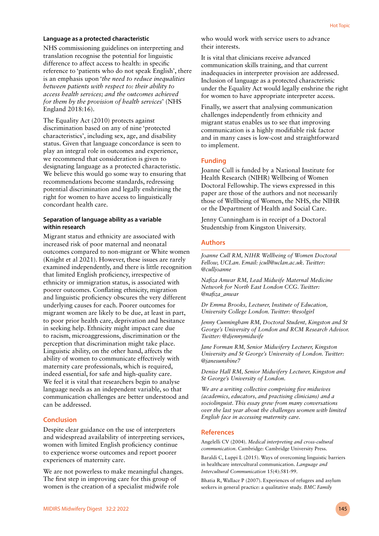#### **Language as a protected characteristic**

NHS commissioning guidelines on interpreting and translation recognise the potential for linguistic difference to affect access to health: in specific reference to 'patients who do not speak English', there is an emphasis upon '*the need to reduce inequalities between patients with respect to: their ability to access health services; and the outcomes achieved for them by the provision of health services*' (NHS England 2018:16).

The Equality Act (2010) protects against discrimination based on any of nine 'protected characteristics', including sex, age, and disability status. Given that language concordance is seen to play an integral role in outcomes and experience, we recommend that consideration is given to designating language as a protected characteristic. We believe this would go some way to ensuring that recommendations become standards, redressing potential discrimination and legally enshrining the right for women to have access to linguistically concordant health care.

#### **Separation of language ability as a variable within research**

Migrant status and ethnicity are associated with increased risk of poor maternal and neonatal outcomes compared to non-migrant or White women (Knight et al 2021). However, these issues are rarely examined independently, and there is little recognition that limited English proficiency, irrespective of ethnicity or immigration status, is associated with poorer outcomes. Conflating ethnicity, migration and linguistic proficiency obscures the very different underlying causes for each. Poorer outcomes for migrant women are likely to be due, at least in part, to poor prior health care, deprivation and hesitance in seeking help. Ethnicity might impact care due to racism, microaggressions, discrimination or the perception that discrimination might take place. Linguistic ability, on the other hand, affects the ability of women to communicate effectively with maternity care professionals, which is required, indeed essential, for safe and high-quality care. We feel it is vital that researchers begin to analyse language needs as an independent variable, so that communication challenges are better understood and can be addressed.

#### **Conclusion**

Despite clear guidance on the use of interpreters and widespread availability of interpreting services, women with limited English proficiency continue to experience worse outcomes and report poorer experiences of maternity care.

We are not powerless to make meaningful changes. The first step in improving care for this group of women is the creation of a specialist midwife role

who would work with service users to advance their interests.

It is vital that clinicians receive advanced communication skills training, and that current inadequacies in interpreter provision are addressed. Inclusion of language as a protected characteristic under the Equality Act would legally enshrine the right for women to have appropriate interpreter access.

Finally, we assert that analysing communication challenges independently from ethnicity and migrant status enables us to see that improving communication is a highly modifiable risk factor and in many cases is low-cost and straightforward to implement.

#### **Funding**

Joanne Cull is funded by a National Institute for Health Research (NIHR) Wellbeing of Women Doctoral Fellowship. The views expressed in this paper are those of the authors and not necessarily those of Wellbeing of Women, the NHS, the NIHR or the Department of Health and Social Care.

Jenny Cunningham is in receipt of a Doctoral Studentship from Kingston University.

#### **Authors**

*Joanne Cull RM, NIHR Wellbeing of Women Doctoral Fellow, UCLan. Email: jcull@uclan.ac.uk. Twitter: @culljoanne*

*Nafiza Anwar RM, Lead Midwife Maternal Medicine Network for North East London CCG. Twitter: @nafiza\_anwar*

*Dr Emma Brooks, Lecturer, Institute of Education, University College London. Twitter: @esolgirl*

*Jenny Cunningham RM, Doctoral Student, Kingston and St George's University of London and RCM Research Advisor. Twitter: @djennymidwife*

*Jane Forman RM, Senior Midwifery Lecturer, Kingston University and St George's University of London. Twitter: @janesunshine7*

*Denise Hall RM, Senior Midwifery Lecturer, Kingston and St George's University of London.*

*We are a writing collective comprising five midwives (academics, educators, and practising clinicians) and a sociolinguist. This essay grew from many conversations over the last year about the challenges women with limited English face in accessing maternity care.*

#### **References**

Angelelli CV (2004). *Medical interpreting and cross-cultural communication*. Cambridge: Cambridge University Press.

Baraldi C, Luppi L (2015). Ways of overcoming linguistic barriers in healthcare intercultural communication. *Language and Intercultural Communication* 15(4):581-99.

Bhatia R, Wallace P (2007). Experiences of refugees and asylum seekers in general practice: a qualitative study. *BMC Family*